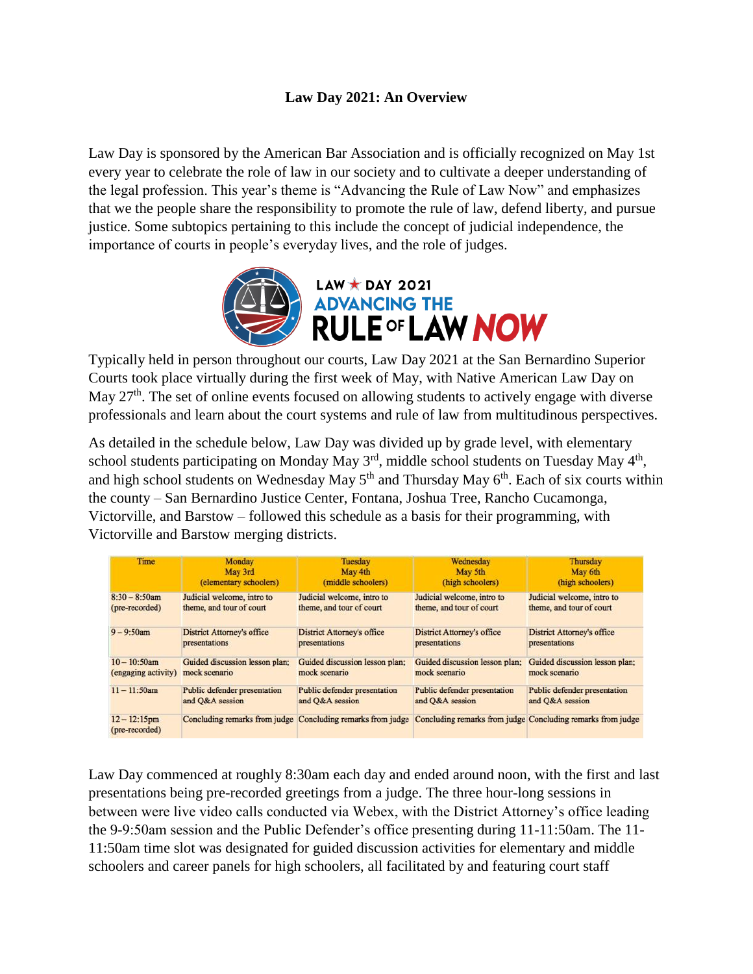## **Law Day 2021: An Overview**

Law Day is sponsored by the American Bar Association and is officially recognized on May 1st every year to celebrate the role of law in our society and to cultivate a deeper understanding of the legal profession. This year's theme is "Advancing the Rule of Law Now" and emphasizes that we the people share the responsibility to promote the rule of law, defend liberty, and pursue justice. Some subtopics pertaining to this include the concept of judicial independence, the importance of courts in people's everyday lives, and the role of judges.



Typically held in person throughout our courts, Law Day 2021 at the San Bernardino Superior Courts took place virtually during the first week of May, with Native American Law Day on May 27<sup>th</sup>. The set of online events focused on allowing students to actively engage with diverse professionals and learn about the court systems and rule of law from multitudinous perspectives.

As detailed in the schedule below, Law Day was divided up by grade level, with elementary school students participating on Monday May  $3<sup>rd</sup>$ , middle school students on Tuesday May  $4<sup>th</sup>$ , and high school students on Wednesday May  $5<sup>th</sup>$  and Thursday May  $6<sup>th</sup>$ . Each of six courts within the county – San Bernardino Justice Center, Fontana, Joshua Tree, Rancho Cucamonga, Victorville, and Barstow – followed this schedule as a basis for their programming, with Victorville and Barstow merging districts.

| Time                              | Monday                            | Tuesday                                                     | Wednesday                         | Thursday                                                    |
|-----------------------------------|-----------------------------------|-------------------------------------------------------------|-----------------------------------|-------------------------------------------------------------|
|                                   | May 3rd                           | May 4th                                                     | May 5th                           | May 6th                                                     |
|                                   | (elementary schoolers)            | (middle schoolers)                                          | (high schoolers)                  | (high schoolers)                                            |
| $8:30 - 8:50$ am                  | Judicial welcome, intro to        | Judicial welcome, intro to                                  | Judicial welcome, intro to        | Judicial welcome, intro to                                  |
| (pre-recorded)                    | theme, and tour of court          | theme, and tour of court                                    | theme, and tour of court          | theme, and tour of court                                    |
| $9 - 9:50$ am                     | <b>District Attorney's office</b> | District Attorney's office                                  | <b>District Attorney's office</b> | <b>District Attorney's office</b>                           |
|                                   | presentations                     | presentations                                               | presentations                     | presentations                                               |
| $10 - 10:50$ am                   | Guided discussion lesson plan;    | Guided discussion lesson plan;                              | Guided discussion lesson plan;    | Guided discussion lesson plan;                              |
| (engaging activity)               | mock scenario                     | mock scenario                                               | mock scenario                     | mock scenario                                               |
| $11 - 11:50$ am                   | Public defender presentation      | Public defender presentation                                | Public defender presentation      | Public defender presentation                                |
|                                   | and O&A session                   | and Q&A session                                             | and Q&A session                   | and Q&A session                                             |
| $12 - 12:15$ pm<br>(pre-recorded) |                                   | Concluding remarks from judge Concluding remarks from judge |                                   | Concluding remarks from judge Concluding remarks from judge |

Law Day commenced at roughly 8:30am each day and ended around noon, with the first and last presentations being pre-recorded greetings from a judge. The three hour-long sessions in between were live video calls conducted via Webex, with the District Attorney's office leading the 9-9:50am session and the Public Defender's office presenting during 11-11:50am. The 11- 11:50am time slot was designated for guided discussion activities for elementary and middle schoolers and career panels for high schoolers, all facilitated by and featuring court staff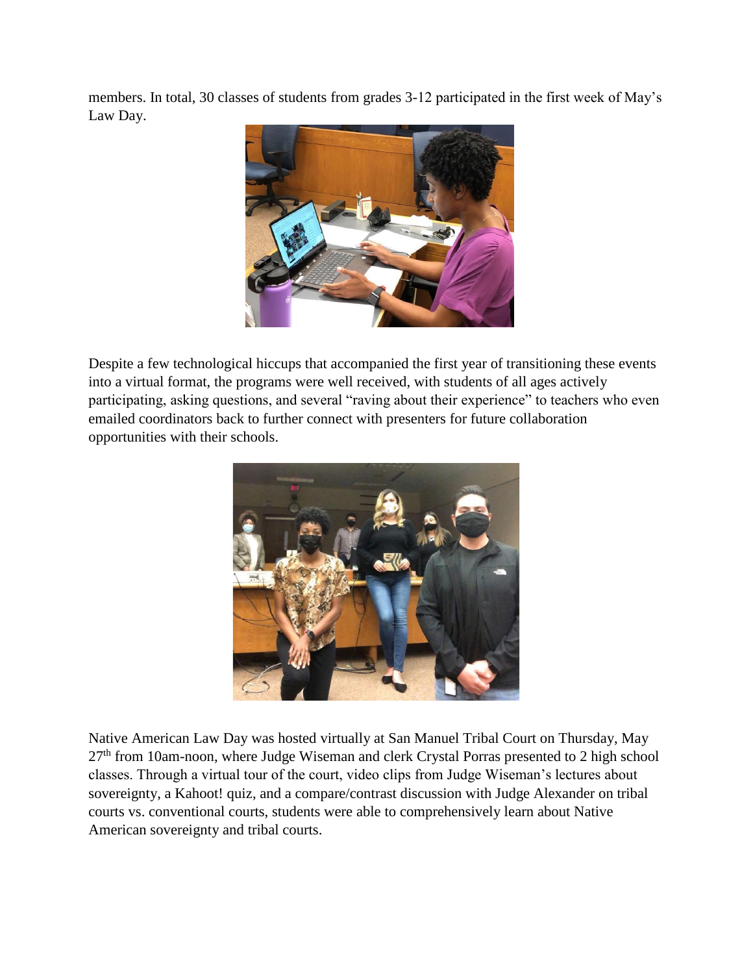members. In total, 30 classes of students from grades 3-12 participated in the first week of May's Law Day.



Despite a few technological hiccups that accompanied the first year of transitioning these events into a virtual format, the programs were well received, with students of all ages actively participating, asking questions, and several "raving about their experience" to teachers who even emailed coordinators back to further connect with presenters for future collaboration opportunities with their schools.



Native American Law Day was hosted virtually at San Manuel Tribal Court on Thursday, May 27<sup>th</sup> from 10am-noon, where Judge Wiseman and clerk Crystal Porras presented to 2 high school classes. Through a virtual tour of the court, video clips from Judge Wiseman's lectures about sovereignty, a Kahoot! quiz, and a compare/contrast discussion with Judge Alexander on tribal courts vs. conventional courts, students were able to comprehensively learn about Native American sovereignty and tribal courts.